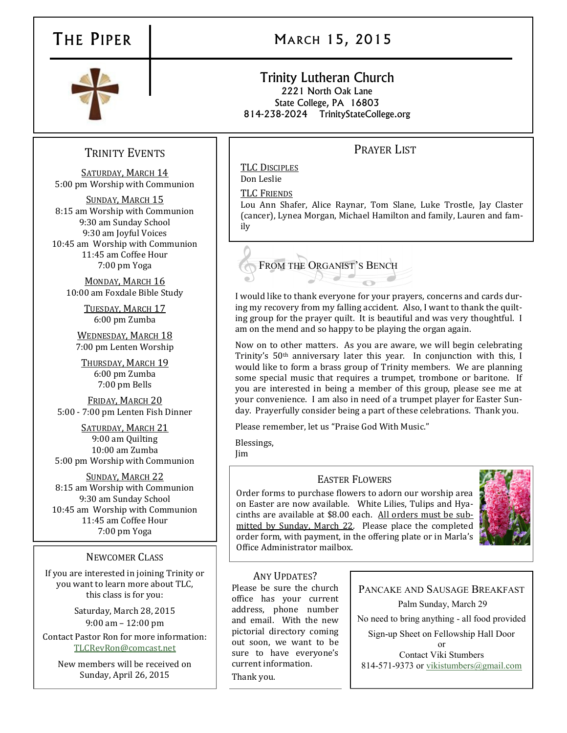# THE PIPER | MARCH 15, 2015

#### Trinity Lutheran Church 2221 North Oak Lane State College, PA 16803 814-238-2024 TrinityStateCollege.org

## PRAYER LIST

TLC DISCIPLES Don Leslie

TLC FRIENDS

Lou Ann Shafer, Alice Raynar, Tom Slane, Luke Trostle, Jay Claster (cancer), Lynea Morgan, Michael Hamilton and family, Lauren and family



I would like to thank everyone for your prayers, concerns and cards during my recovery from my falling accident. Also, I want to thank the quilting group for the prayer quilt. It is beautiful and was very thoughtful. I am on the mend and so happy to be playing the organ again.

Now on to other matters. As you are aware, we will begin celebrating Trinity's 50th anniversary later this year. In conjunction with this, I would like to form a brass group of Trinity members. We are planning some special music that requires a trumpet, trombone or baritone. If you are interested in being a member of this group, please see me at your convenience. I am also in need of a trumpet player for Easter Sunday. Prayerfully consider being a part of these celebrations. Thank you.

Please remember, let us "Praise God With Music."

Blessings, Jim

### EASTER FLOWERS

Order forms to purchase flowers to adorn our worship area on Easter are now available. White Lilies, Tulips and Hyacinths are available at \$8.00 each. All orders must be submitted by Sunday, March 22. Please place the completed order form, with payment, in the offering plate or in Marla's Office Administrator mailbox.



### ANY UPDATES?

Please be sure the church office has your current address, phone number and email. With the new pictorial directory coming out soon, we want to be sure to have everyone's current information. Thank you.

PANCAKE AND SAUSAGE BREAKFAST Palm Sunday, March 29 No need to bring anything - all food provided Sign-up Sheet on Fellowship Hall Door or Contact Viki Stumbers

814-571-9373 or [vikistumbers@gmail.com](mailto:vikistumbers@gmail.com)

## TRINITY EVENTS

SATURDAY, MARCH 14 5:00 pm Worship with Communion

SUNDAY, MARCH 15 8:15 am Worship with Communion 9:30 am Sunday School 9:30 am Joyful Voices 10:45 am Worship with Communion 11:45 am Coffee Hour 7:00 pm Yoga

MONDAY, MARCH 16 10:00 am Foxdale Bible Study

> TUESDAY, MARCH 17 6:00 pm Zumba

WEDNESDAY, MARCH 18 7:00 pm Lenten Worship

THURSDAY, MARCH 19 6:00 pm Zumba 7:00 pm Bells

FRIDAY, MARCH 20 5:00 - 7:00 pm Lenten Fish Dinner

SATURDAY, MARCH 21 9:00 am Quilting 10:00 am Zumba 5:00 pm Worship with Communion

SUNDAY, MARCH 22 8:15 am Worship with Communion 9:30 am Sunday School 10:45 am Worship with Communion 11:45 am Coffee Hour 7:00 pm Yoga

### NEWCOMER CLASS

If you are interested in joining Trinity or you want to learn more about TLC, this class is for you:

> Saturday, March 28, 2015 9:00 am – 12:00 pm

Contact Pastor Ron for more information: [TLCRevRon@comcast.net](mailto:TLCRevRon@comcast.net)

New members will be received on Sunday, April 26, 2015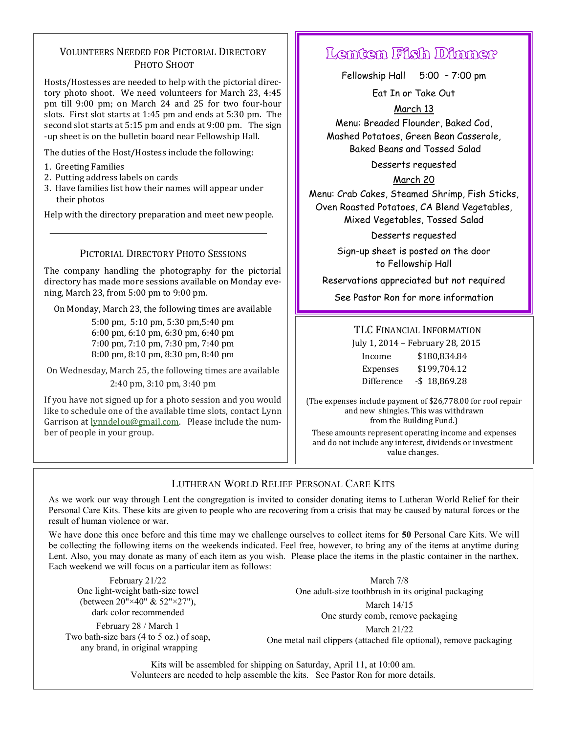### VOLUNTEERS NEEDED FOR PICTORIAL DIRECTORY PHOTO SHOOT

Hosts/Hostesses are needed to help with the pictorial directory photo shoot. We need volunteers for March 23, 4:45 pm till 9:00 pm; on March 24 and 25 for two four-hour slots. First slot starts at 1:45 pm and ends at 5:30 pm. The second slot starts at 5:15 pm and ends at 9:00 pm. The sign -up sheet is on the bulletin board near Fellowship Hall.

The duties of the Host/Hostess include the following:

- 1. Greeting Families
- 2. Putting address labels on cards
- 3. Have families list how their names will appear under their photos

Help with the directory preparation and meet new people.

#### PICTORIAL DIRECTORY PHOTO SESSIONS

The company handling the photography for the pictorial directory has made more sessions available on Monday evening, March 23, from 5:00 pm to 9:00 pm.

On Monday, March 23, the following times are available

5:00 pm, 5:10 pm, 5:30 pm,5:40 pm 6:00 pm, 6:10 pm, 6:30 pm, 6:40 pm 7:00 pm, 7:10 pm, 7:30 pm, 7:40 pm 8:00 pm, 8:10 pm, 8:30 pm, 8:40 pm

On Wednesday, March 25, the following times are available 2:40 pm, 3:10 pm, 3:40 pm

If you have not signed up for a photo session and you would like to schedule one of the available time slots, contact Lynn Garrison at [lynndelou@gmail.com.](mailto:lynndelou@gmail.com) Please include the number of people in your group.

# Lenten Fish Dinner

Fellowship Hall 5:00 – 7:00 pm

Eat In or Take Out

March 13 Menu: Breaded Flounder, Baked Cod, Mashed Potatoes, Green Bean Casserole, Baked Beans and Tossed Salad

Desserts requested

March 20

Menu: Crab Cakes, Steamed Shrimp, Fish Sticks, Oven Roasted Potatoes, CA Blend Vegetables, Mixed Vegetables, Tossed Salad

Desserts requested

Sign-up sheet is posted on the door to Fellowship Hall

Reservations appreciated but not required

See Pastor Ron for more information

#### TLC FINANCIAL INFORMATION

July 1, 2014 – February 28, 2015

| Income     | \$180,834.84    |
|------------|-----------------|
| Expenses   | \$199,704.12    |
| Difference | $-$ \$18,869.28 |

(The expenses include payment of \$26,778.00 for roof repair and new shingles. This was withdrawn from the Building Fund.)

These amounts represent operating income and expenses and do not include any interest, dividends or investment value changes.

## LUTHERAN WORLD RELIEF PERSONAL CARE KITS

As we work our way through Lent the congregation is invited to consider donating items to Lutheran World Relief for their Personal Care Kits. These kits are given to people who are recovering from a crisis that may be caused by natural forces or the result of human violence or war.

We have done this once before and this time may we challenge ourselves to collect items for **50** Personal Care Kits. We will be collecting the following items on the weekends indicated. Feel free, however, to bring any of the items at anytime during Lent. Also, you may donate as many of each item as you wish. Please place the items in the plastic container in the narthex. Each weekend we will focus on a particular item as follows:

February 21/22 One light-weight bath-size towel (between 20"×40" & 52"×27"), dark color recommended

February 28 / March 1 Two bath-size bars (4 to 5 oz.) of soap, any brand, in original wrapping

March 7/8 One adult-size toothbrush in its original packaging March 14/15

One sturdy comb, remove packaging

March 21/22 One metal nail clippers (attached file optional), remove packaging

Kits will be assembled for shipping on Saturday, April 11, at 10:00 am. Volunteers are needed to help assemble the kits. See Pastor Ron for more details.